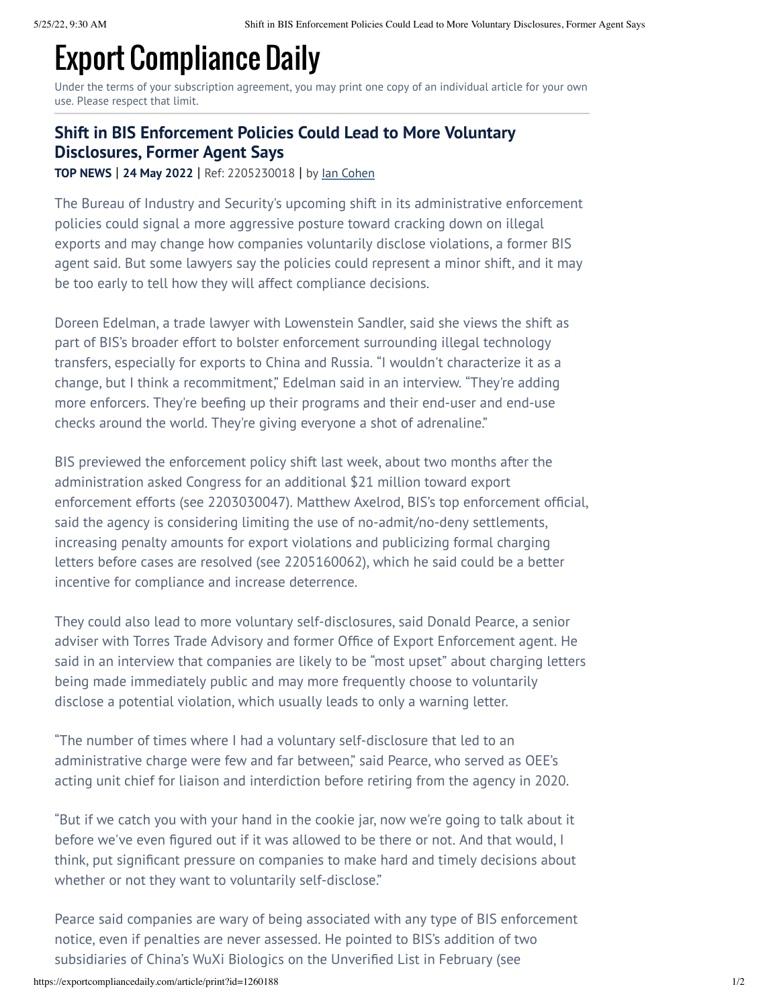## Export Compliance Daily

Under the terms of your subscription agreement, you may print one copy of an individual article for your own use. Please respect that limit.

## **Shift in BIS Enforcement Policies Could Lead to More Voluntary Disclosures, Former Agent Says**

**TOP NEWS** | **24 May 2022** | Ref: 2205230018 | by Ian [Cohen](https://exportcompliancedaily.com/biography/ian-cohen-496020)

The Bureau of Industry and Security's upcoming shift in its administrative enforcement policies could signal a more aggressive posture toward cracking down on illegal exports and may change how companies voluntarily disclose violations, a former BIS agent said. But some lawyers say the policies could represent a minor shift, and it may be too early to tell how they will affect compliance decisions.

Doreen Edelman, a trade lawyer with Lowenstein Sandler, said she views the shift as part of BIS's broader effort to bolster enforcement surrounding illegal technology transfers, especially for exports to China and Russia. "I wouldn't characterize it as a change, but I think a recommitment," Edelman said in an interview. "They're adding more enforcers. They're beefing up their programs and their end-user and end-use checks around the world. They're giving everyone a shot of adrenaline."

BIS previewed the enforcement policy shift last week, about two months after the administration asked Congress for an additional \$21 million toward export enforcement efforts (see 2203030047). Matthew Axelrod, BIS's top enforcement official, said the agency is considering limiting the use of no-admit/no-deny settlements, increasing penalty amounts for export violations and publicizing formal charging letters before cases are resolved (see 2205160062), which he said could be a better incentive for compliance and increase deterrence.

They could also lead to more voluntary self-disclosures, said Donald Pearce, a senior adviser with Torres Trade Advisory and former Office of Export Enforcement agent. He said in an interview that companies are likely to be "most upset" about charging letters being made immediately public and may more frequently choose to voluntarily disclose a potential violation, which usually leads to only a warning letter.

"The number of times where I had a voluntary self-disclosure that led to an administrative charge were few and far between," said Pearce, who served as OEE's acting unit chief for liaison and interdiction before retiring from the agency in 2020.

"But if we catch you with your hand in the cookie jar, now we're going to talk about it before we've even figured out if it was allowed to be there or not. And that would, I think, put significant pressure on companies to make hard and timely decisions about whether or not they want to voluntarily self-disclose."

Pearce said companies are wary of being associated with any type of BIS enforcement notice, even if penalties are never assessed. He pointed to BIS's addition of two subsidiaries of China's WuXi Biologics on the Unverified List in February (see